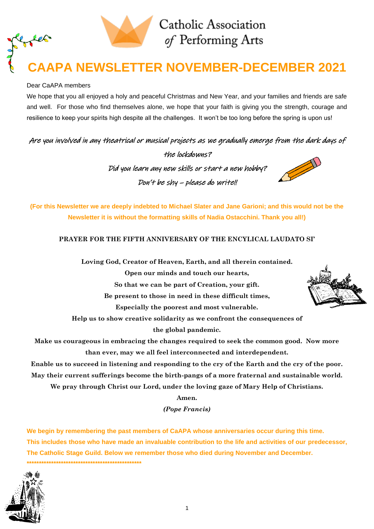

# **CAAPA NEWSLETTER NOVEMBER-DECEMBER 2021**

## Dear CaAPA members

 $\mathcal{L}\!\mathscr{L}$ 

We hope that you all enjoyed a holy and peaceful Christmas and New Year, and your families and friends are safe and well. For those who find themselves alone, we hope that your faith is giving you the strength, courage and resilience to keep your spirits high despite all the challenges. It won't be too long before the spring is upon us!

Are you involved in any theatrical or musical projects as we gradually emerge from the dark days of

the lockdowns? Did you learn any new skills or start a new hobby? Don't be shy – please do write!!



**(For this Newsletter we are deeply indebted to Michael Slater and Jane Garioni; and this would not be the Newsletter it is without the formatting skills of Nadia Ostacchini. Thank you all!)**

## **PRAYER FOR THE FIFTH ANNIVERSARY OF THE ENCYLICAL LAUDATO SI'**

**Loving God, Creator of Heaven, Earth, and all therein contained.**

**Open our minds and touch our hearts,**

**So that we can be part of Creation, your gift.**

**Be present to those in need in these difficult times,**

**Especially the poorest and most vulnerable.**

**Help us to show creative solidarity as we confront the consequences of**

**the global pandemic.**

**Make us courageous in embracing the changes required to seek the common good. Now more than ever, may we all feel interconnected and interdependent.**

**Enable us to succeed in listening and responding to the cry of the Earth and the cry of the poor. May their current sufferings become the birth-pangs of a more fraternal and sustainable world.**

**We pray through Christ our Lord, under the loving gaze of Mary Help of Christians.** 

**Amen.**

*(Pope Francis)*

**We begin by remembering the past members of CaAPA whose anniversaries occur during this time. This includes those who have made an invaluable contribution to the life and activities of our predecessor, The Catholic Stage Guild. Below we remember those who died during November and December. \*\*\*\*\*\*\*\*\*\*\*\*\*\*\*\*\*\*\*\*\*\*\*\*\*\*\*\*\*\*\*\*\*\*\*\*\*\*\*\*\*\*\*\*\*\*\***



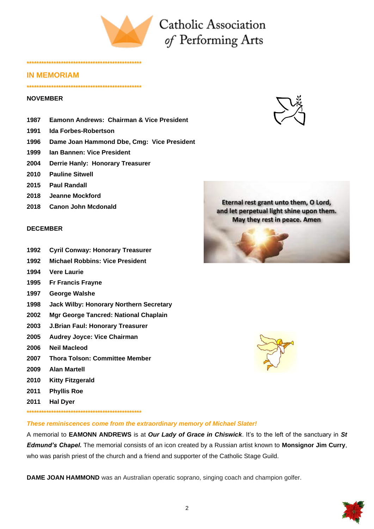

## **IN MEMORIAM**

### **\*\*\*\*\*\*\*\*\*\*\*\*\*\*\*\*\*\*\*\*\*\*\*\*\*\*\*\*\*\*\*\*\*\*\*\*\*\*\*\*\*\*\*\*\*\*\***

**\*\*\*\*\*\*\*\*\*\*\*\*\*\*\*\*\*\*\*\*\*\*\*\*\*\*\*\*\*\*\*\*\*\*\*\*\*\*\*\*\*\*\*\*\*\*\***

### **NOVEMBER**

- **1987 Eamonn Andrews: Chairman & Vice President**
- **1991 Ida Forbes-Robertson**
- **1996 Dame Joan Hammond Dbe, Cmg: Vice President**
- **1999 Ian Bannen: Vice President**
- **2004 Derrie Hanly: Honorary Treasurer**
- **2010 Pauline Sitwell**
- **2015 Paul Randall**
- **2018 Jeanne Mockford**
- **2018 Canon John Mcdonald**

### **DECEMBER**

- **1992 Cyril Conway: Honorary Treasurer**
- **1992 Michael Robbins: Vice President**
- **1994 Vere Laurie**
- **1995 Fr Francis Frayne**
- **1997 George Walshe**
- **1998 Jack Wilby: Honorary Northern Secretary**
- **2002 Mgr George Tancred: National Chaplain**
- **2003 J.Brian Faul: Honorary Treasurer**
- **2005 Audrey Joyce: Vice Chairman**
- **2006 Neil Macleod**
- **2007 Thora Tolson: Committee Member**
- **2009 Alan Martell**
- **2010 Kitty Fitzgerald**
- **2011 Phyllis Roe**
- **2011 Hal Dyer**
- **\*\*\*\*\*\*\*\*\*\*\*\*\*\*\*\*\*\*\*\*\*\*\*\*\*\*\*\*\*\*\*\*\*\*\*\*\*\*\*\*\*\*\*\*\*\*\***

*These reminiscences come from the extraordinary memory of Michael Slater!*

A memorial to **EAMONN ANDREWS** is at *Our Lady of Grace in Chiswick*. It's to the left of the sanctuary in *St Edmund's Chapel.* The memorial consists of an icon created by a Russian artist known to **Monsignor Jim Curry**, who was parish priest of the church and a friend and supporter of the Catholic Stage Guild.

**DAME JOAN HAMMOND** was an Australian operatic soprano, singing coach and champion golfer.







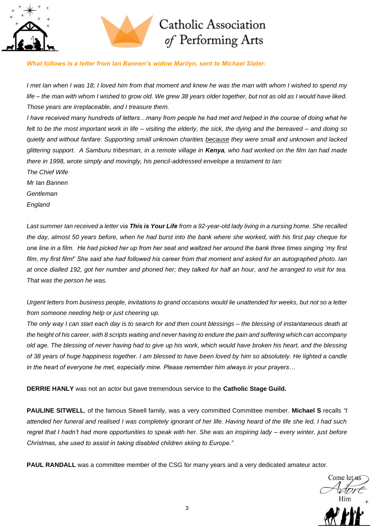



## *What follows is a letter from Ian Bannen's widow Marilyn, sent to Michael Slater:*

*I met Ian when I was 18; I loved him from that moment and knew he was the man with whom I wished to spend my life – the man with whom I wished to grow old. We grew 38 years older together, but not as old as I would have liked. Those years are irreplaceable, and I treasure them.*

*I have received many hundreds of letters…many from people he had met and helped in the course of doing what he felt to be the most important work in life – visiting the elderly, the sick, the dying and the bereaved – and doing so quietly and without fanfare. Supporting small unknown charities because they were small and unknown and lacked glittering support. A Samburu tribesman, in a remote village in Kenya, who had worked on the film Ian had made there in 1998, wrote simply and movingly, his pencil-addressed envelope a testament to Ian: The Chief Wife*

*Mr Ian Bannen Gentleman England*

*Last summer Ian received a letter via This is Your Life from a 92-year-old lady living in a nursing home. She recalled the day, almost 50 years before, when he had burst into the bank where she worked, with his first pay cheque for one line in a film. He had picked her up from her seat and waltzed her around the bank three times singing 'my first film, my first film!' She said she had followed his career from that moment and asked for an autographed photo. Ian at once dialled 192, got her number and phoned her; they talked for half an hour, and he arranged to visit for tea. That was the person he was.*

*Urgent letters from business people, invitations to grand occasions would lie unattended for weeks, but not so a letter from someone needing help or just cheering up.*

*The only way I can start each day is to search for and then count blessings – the blessing of instantaneous death at the height of his career, with 8 scripts waiting and never having to endure the pain and suffering which can accompany old age. The blessing of never having had to give up his work, which would have broken his heart, and the blessing of 38 years of huge happiness together. I am blessed to have been loved by him so absolutely. He lighted a candle in the heart of everyone he met, especially mine. Please remember him always in your prayers…*

**DERRIE HANLY** was not an actor but gave tremendous service to the **Catholic Stage Guild.**

**PAULINE SITWELL**, of the famous Sitwell family, was a very committed Committee member. **Michael S** recalls *"I attended her funeral and realised I was completely ignorant of her life. Having heard of the life she led, I had such regret that I hadn't had more opportunities to speak with her. She was an inspiring lady – every winter, just before Christmas, she used to assist in taking disabled children skiing to Europe."*

**PAUL RANDALL** was a committee member of the CSG for many years and a very dedicated amateur actor.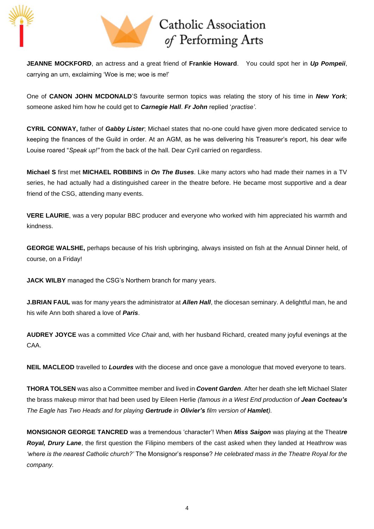



**JEANNE MOCKFORD**, an actress and a great friend of **Frankie Howard**. You could spot her in *Up Pompeii*, carrying an urn, exclaiming 'Woe is me; woe is me!'

One of **CANON JOHN MCDONALD**'S favourite sermon topics was relating the story of his time in *New York*; someone asked him how he could get to *Carnegie Hall*. *Fr John* replied '*practise'*.

**CYRIL CONWAY,** father of *Gabby Lister*; Michael states that no-one could have given more dedicated service to keeping the finances of the Guild in order. At an AGM, as he was delivering his Treasurer's report, his dear wife Louise roared "*Speak up!"* from the back of the hall. Dear Cyril carried on regardless.

**Michael S** first met **MICHAEL ROBBINS** in *On The Buses*. Like many actors who had made their names in a TV series, he had actually had a distinguished career in the theatre before. He became most supportive and a dear friend of the CSG, attending many events.

**VERE LAURIE**, was a very popular BBC producer and everyone who worked with him appreciated his warmth and kindness.

**GEORGE WALSHE,** perhaps because of his Irish upbringing, always insisted on fish at the Annual Dinner held, of course, on a Friday!

**JACK WILBY** managed the CSG's Northern branch for many years.

**J.BRIAN FAUL** was for many years the administrator at *Allen Hall*, the diocesan seminary. A delightful man, he and his wife Ann both shared a love of *Paris*.

**AUDREY JOYCE** was a committed *Vice Chair* and, with her husband Richard, created many joyful evenings at the CAA.

**NEIL MACLEOD** travelled to *Lourdes* with the diocese and once gave a monologue that moved everyone to tears.

**THORA TOLSEN** was also a Committee member and lived in *Covent Garden*. After her death she left Michael Slater the brass makeup mirror that had been used by Eileen Herlie *(famous in a West End production of Jean Cocteau's The Eagle has Two Heads and for playing Gertrude in Olivier's film version of Hamlet).*

**MONSIGNOR GEORGE TANCRED** was a tremendous 'character'! When *Miss Saigon* was playing at the Theat*re Royal, Drury Lane*, the first question the Filipino members of the cast asked when they landed at Heathrow was *'where is the nearest Catholic church?'* The Monsignor's response? *He celebrated mass in the Theatre Royal for the company.*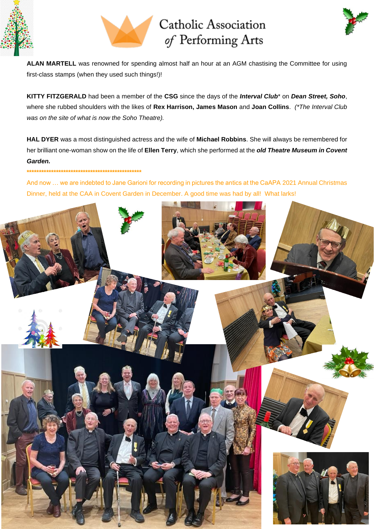





**ALAN MARTELL** was renowned for spending almost half an hour at an AGM chastising the Committee for using first-class stamps (when they used such things!)!

**KITTY FITZGERALD** had been a member of the **CSG** since the days of the *Interval Club*\* on *Dean Street, Soho*, where she rubbed shoulders with the likes of **Rex Harrison, James Mason** and **Joan Collins**. *(\*The Interval Club was on the site of what is now the Soho Theatre).*

**HAL DYER** was a most distinguished actress and the wife of **Michael Robbins**. She will always be remembered for her brilliant one-woman show on the life of **Ellen Terry**, which she performed at the *old Theatre Museum in Covent Garden.*

### **\*\*\*\*\*\*\*\*\*\*\*\*\*\*\*\*\*\*\*\*\*\*\*\*\*\*\*\*\*\*\*\*\*\*\*\*\*\*\*\*\*\*\*\*\*\*\***

And now … we are indebted to Jane Garioni for recording in pictures the antics at the CaAPA 2021 Annual Christmas Dinner, held at the CAA in Covent Garden in December. A good time was had by all! What larks!

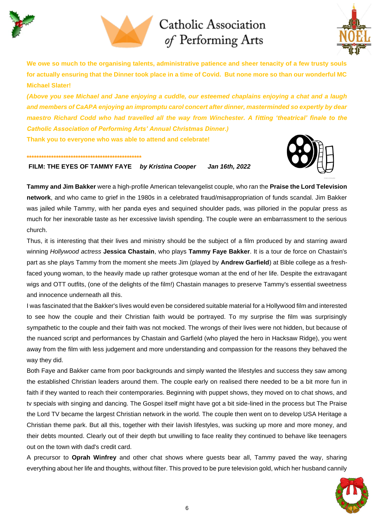





**We owe so much to the organising talents, administrative patience and sheer tenacity of a few trusty souls for actually ensuring that the Dinner took place in a time of Covid. But none more so than our wonderful MC Michael Slater!** 

*(Above you see Michael and Jane enjoying a cuddle, our esteemed chaplains enjoying a chat and a laugh and members of CaAPA enjoying an impromptu carol concert after dinner, masterminded so expertly by dear maestro Richard Codd who had travelled all the way from Winchester. A fitting 'theatrical' finale to the Catholic Association of Performing Arts' Annual Christmas Dinner.)* 

**Thank you to everyone who was able to attend and celebrate!**

#### **\*\*\*\*\*\*\*\*\*\*\*\*\*\*\*\*\*\*\*\*\*\*\*\*\*\*\*\*\*\*\*\*\*\*\*\*\*\*\*\*\*\*\*\*\*\*\***

## **FILM: THE EYES OF TAMMY FAYE** *by Kristina Cooper Jan 16th, 2022*



**Tammy and Jim Bakker** were a high-profile American televangelist couple, who ran the **Praise the Lord Television network**, and who came to grief in the 1980s in a celebrated fraud/misappropriation of funds scandal. Jim Bakker was jailed while Tammy, with her panda eyes and sequined shoulder pads, was pilloried in the popular press as much for her inexorable taste as her excessive lavish spending. The couple were an embarrassment to the serious church.

Thus, it is interesting that their lives and ministry should be the subject of a film produced by and starring award winning *Hollywood actress* **Jessica Chastain**, who plays **Tammy Faye Bakker**. It is a tour de force on Chastain's part as she plays Tammy from the moment she meets Jim (played by **Andrew Garfield**) at Bible college as a freshfaced young woman, to the heavily made up rather grotesque woman at the end of her life. Despite the extravagant wigs and OTT outfits, (one of the delights of the film!) Chastain manages to preserve Tammy's essential sweetness and innocence underneath all this.

I was fascinated that the Bakker's lives would even be considered suitable material for a Hollywood film and interested to see how the couple and their Christian faith would be portrayed. To my surprise the film was surprisingly sympathetic to the couple and their faith was not mocked. The wrongs of their lives were not hidden, but because of the nuanced script and performances by Chastain and Garfield (who played the hero in Hacksaw Ridge), you went away from the film with less judgement and more understanding and compassion for the reasons they behaved the way they did.

Both Faye and Bakker came from poor backgrounds and simply wanted the lifestyles and success they saw among the established Christian leaders around them. The couple early on realised there needed to be a bit more fun in faith if they wanted to reach their contemporaries. Beginning with puppet shows, they moved on to chat shows, and tv specials with singing and dancing. The Gospel itself might have got a bit side-lined in the process but The Praise the Lord TV became the largest Christian network in the world. The couple then went on to develop USA Heritage a Christian theme park. But all this, together with their lavish lifestyles, was sucking up more and more money, and their debts mounted. Clearly out of their depth but unwilling to face reality they continued to behave like teenagers out on the town with dad's credit card.

A precursor to **Oprah Winfrey** and other chat shows where guests bear all, Tammy paved the way, sharing everything about her life and thoughts, without filter. This proved to be pure television gold, which her husband cannily